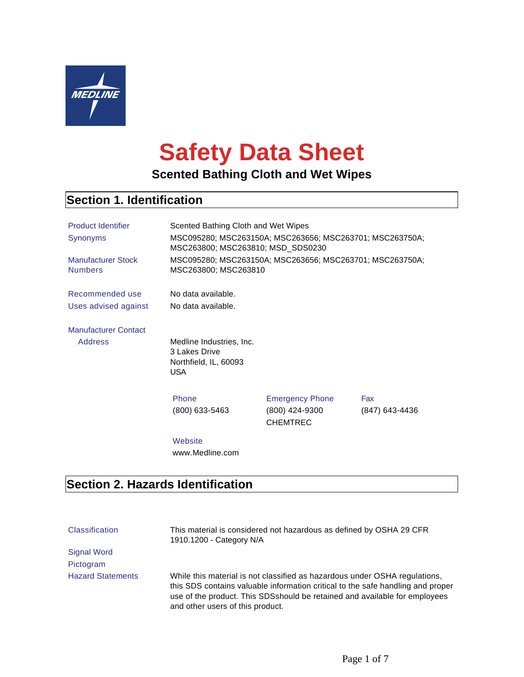

# **Safety Data Sheet**

## **Scented Bathing Cloth and Wet Wipes**

## **Section 1. Identification**

| <b>Product Identifier</b><br>Synonyms<br><b>Manufacturer Stock</b><br><b>Numbers</b> | Scented Bathing Cloth and Wet Wipes<br>MSC095280; MSC263150A; MSC263656; MSC263701; MSC263750A;<br>MSC263800; MSC263810; MSD_SDS0230<br>MSC095280; MSC263150A; MSC263656; MSC263701; MSC263750A;<br>MSC263800; MSC263810 |                                                             |                       |
|--------------------------------------------------------------------------------------|--------------------------------------------------------------------------------------------------------------------------------------------------------------------------------------------------------------------------|-------------------------------------------------------------|-----------------------|
| Recommended use<br>Uses advised against                                              | No data available.<br>No data available.                                                                                                                                                                                 |                                                             |                       |
| <b>Manufacturer Contact</b><br><b>Address</b>                                        | Medline Industries, Inc.<br>3 Lakes Drive<br>Northfield, IL, 60093<br><b>USA</b>                                                                                                                                         |                                                             |                       |
|                                                                                      | Phone<br>(800) 633-5463                                                                                                                                                                                                  | <b>Emergency Phone</b><br>(800) 424-9300<br><b>CHEMTREC</b> | Fax<br>(847) 643-4436 |
|                                                                                      | Website<br>www.Medline.com                                                                                                                                                                                               |                                                             |                       |

## **Section 2. Hazards Identification**

| <b>Classification</b>    | This material is considered not hazardous as defined by OSHA 29 CFR<br>1910.1200 - Category N/A                                                                                                                                                                                 |
|--------------------------|---------------------------------------------------------------------------------------------------------------------------------------------------------------------------------------------------------------------------------------------------------------------------------|
| Signal Word              |                                                                                                                                                                                                                                                                                 |
| Pictogram                |                                                                                                                                                                                                                                                                                 |
| <b>Hazard Statements</b> | While this material is not classified as hazardous under OSHA regulations,<br>this SDS contains valuable information critical to the safe handling and proper<br>use of the product. This SDSshould be retained and available for employees<br>and other users of this product. |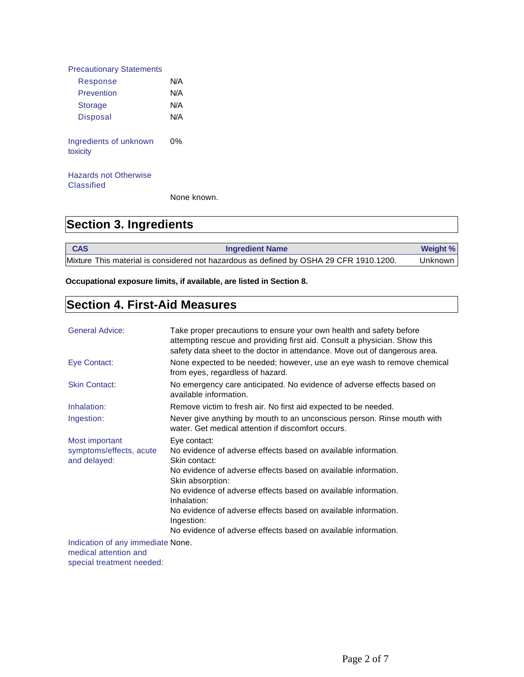| <b>Precautionary Statements</b>    |     |
|------------------------------------|-----|
| Response                           | N/A |
| Prevention                         | N/A |
| <b>Storage</b>                     | N/A |
| <b>Disposal</b>                    | N/A |
| Ingredients of unknown<br>toxicity | 0%  |
| Hazards not Otherwise              |     |

**Classified** 

None known.

## **Section 3. Ingredients**

**CAS Ingredient Name** *Ingredient Name* **Weight %** Mixture This material is considered not hazardous as defined by OSHA 29 CFR 1910.1200. Unknown

**Occupational exposure limits, if available, are listed in Section 8.**

## **Section 4. First-Aid Measures**

| <b>General Advice:</b>                                     | Take proper precautions to ensure your own health and safety before<br>attempting rescue and providing first aid. Consult a physician. Show this<br>safety data sheet to the doctor in attendance. Move out of dangerous area. |
|------------------------------------------------------------|--------------------------------------------------------------------------------------------------------------------------------------------------------------------------------------------------------------------------------|
| Eye Contact:                                               | None expected to be needed; however, use an eye wash to remove chemical<br>from eyes, regardless of hazard.                                                                                                                    |
| <b>Skin Contact:</b>                                       | No emergency care anticipated. No evidence of adverse effects based on<br>available information.                                                                                                                               |
| Inhalation:                                                | Remove victim to fresh air. No first aid expected to be needed.                                                                                                                                                                |
| Ingestion:                                                 | Never give anything by mouth to an unconscious person. Rinse mouth with<br>water. Get medical attention if discomfort occurs.                                                                                                  |
| Most important                                             | Eye contact:                                                                                                                                                                                                                   |
| symptoms/effects, acute<br>and delayed:                    | No evidence of adverse effects based on available information.<br>Skin contact:                                                                                                                                                |
|                                                            | No evidence of adverse effects based on available information.<br>Skin absorption:                                                                                                                                             |
|                                                            | No evidence of adverse effects based on available information.<br>Inhalation:                                                                                                                                                  |
|                                                            | No evidence of adverse effects based on available information.<br>Ingestion:                                                                                                                                                   |
|                                                            | No evidence of adverse effects based on available information.                                                                                                                                                                 |
| Indication of any immediate None.<br>medical attention and |                                                                                                                                                                                                                                |

special treatment needed: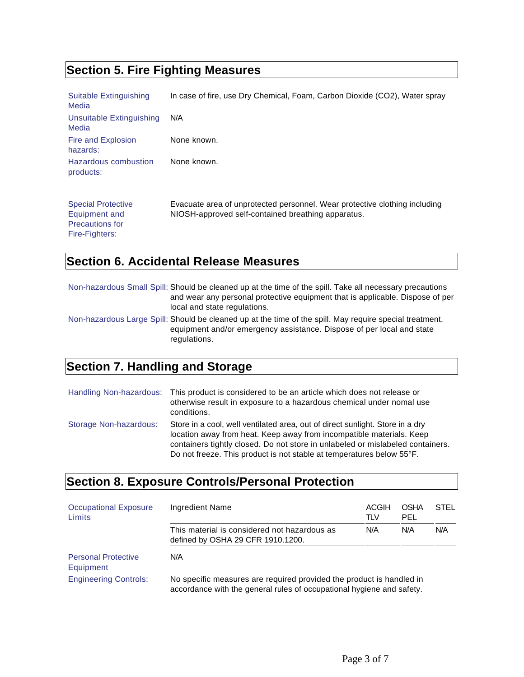## **Section 5. Fire Fighting Measures**

| Suitable Extinguishing<br>Media                                                        | In case of fire, use Dry Chemical, Foam, Carbon Dioxide (CO2), Water spray                                                       |
|----------------------------------------------------------------------------------------|----------------------------------------------------------------------------------------------------------------------------------|
| Unsuitable Extinguishing<br>Media                                                      | N/A                                                                                                                              |
| Fire and Explosion<br>hazards:                                                         | None known.                                                                                                                      |
| Hazardous combustion<br>products:                                                      | None known.                                                                                                                      |
| <b>Special Protective</b><br>Equipment and<br><b>Precautions for</b><br>Fire-Fighters: | Evacuate area of unprotected personnel. Wear protective clothing including<br>NIOSH-approved self-contained breathing apparatus. |

## **Section 6. Accidental Release Measures**

| Non-hazardous Small Spill: Should be cleaned up at the time of the spill. Take all necessary precautions<br>and wear any personal protective equipment that is applicable. Dispose of per<br>local and state regulations. |
|---------------------------------------------------------------------------------------------------------------------------------------------------------------------------------------------------------------------------|
| Non-hazardous Large Spill: Should be cleaned up at the time of the spill. May require special treatment,<br>equipment and/or emergency assistance. Dispose of per local and state<br>regulations.                         |

## **Section 7. Handling and Storage**

|                        | Handling Non-hazardous: This product is considered to be an article which does not release or<br>otherwise result in exposure to a hazardous chemical under nomal use<br>conditions.                                                                                                                             |
|------------------------|------------------------------------------------------------------------------------------------------------------------------------------------------------------------------------------------------------------------------------------------------------------------------------------------------------------|
| Storage Non-hazardous: | Store in a cool, well ventilated area, out of direct sunlight. Store in a dry<br>location away from heat. Keep away from incompatible materials. Keep<br>containers tightly closed. Do not store in unlabeled or mislabeled containers.<br>Do not freeze. This product is not stable at temperatures below 55°F. |

## **Section 8. Exposure Controls/Personal Protection**

| <b>Occupational Exposure</b><br>Limits  | Ingredient Name                                                                                                                               | <b>ACGIH</b><br>TLV | <b>OSHA</b><br>PEL | <b>STEL</b> |
|-----------------------------------------|-----------------------------------------------------------------------------------------------------------------------------------------------|---------------------|--------------------|-------------|
|                                         | This material is considered not hazardous as<br>defined by OSHA 29 CFR 1910.1200.                                                             | N/A                 | N/A                | N/A         |
| <b>Personal Protective</b><br>Equipment | N/A                                                                                                                                           |                     |                    |             |
| <b>Engineering Controls:</b>            | No specific measures are required provided the product is handled in<br>accordance with the general rules of occupational hygiene and safety. |                     |                    |             |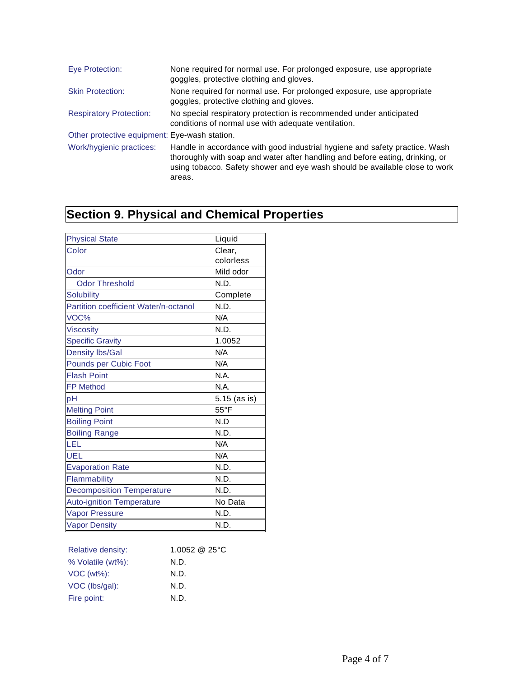| Eye Protection:                               | None required for normal use. For prolonged exposure, use appropriate<br>goggles, protective clothing and gloves.                                                                                                                                     |
|-----------------------------------------------|-------------------------------------------------------------------------------------------------------------------------------------------------------------------------------------------------------------------------------------------------------|
| <b>Skin Protection:</b>                       | None required for normal use. For prolonged exposure, use appropriate<br>goggles, protective clothing and gloves.                                                                                                                                     |
| <b>Respiratory Protection:</b>                | No special respiratory protection is recommended under anticipated<br>conditions of normal use with adequate ventilation.                                                                                                                             |
| Other protective equipment: Eye-wash station. |                                                                                                                                                                                                                                                       |
| Work/hygienic practices:                      | Handle in accordance with good industrial hygiene and safety practice. Wash<br>thoroughly with soap and water after handling and before eating, drinking, or<br>using tobacco. Safety shower and eye wash should be available close to work<br>areas. |

## **Section 9. Physical and Chemical Properties**

| <b>Physical State</b>                 | Liquid         |
|---------------------------------------|----------------|
| Color                                 | Clear,         |
|                                       | colorless      |
| Odor                                  | Mild odor      |
| <b>Odor Threshold</b>                 | N.D.           |
| <b>Solubility</b>                     | Complete       |
| Partition coefficient Water/n-octanol | N.D.           |
| VOC%                                  | N/A            |
| <b>Viscosity</b>                      | N.D.           |
| <b>Specific Gravity</b>               | 1.0052         |
| <b>Density lbs/Gal</b>                | N/A            |
| Pounds per Cubic Foot                 | N/A            |
| <b>Flash Point</b>                    | N.A.           |
| <b>FP Method</b>                      | N.A.           |
| pH                                    | 5.15 (as is)   |
| <b>Melting Point</b>                  | $55^{\circ}$ F |
| <b>Boiling Point</b>                  | N.D            |
| <b>Boiling Range</b>                  | N.D.           |
| LEL                                   | N/A            |
| UEL                                   | N/A            |
| <b>Evaporation Rate</b>               | N.D.           |
| Flammability                          | N.D.           |
| <b>Decomposition Temperature</b>      | N.D.           |
| <b>Auto-ignition Temperature</b>      | No Data        |
| <b>Vapor Pressure</b>                 | N.D.           |
| <b>Vapor Density</b>                  | N.D.           |

| <b>Relative density:</b> | 1.0052 @ 25 $\degree$ C |
|--------------------------|-------------------------|
| % Volatile (wt%):        | N.D.                    |
| $VOC (wt\%):$            | N.D.                    |
| VOC (lbs/gal):           | N.D.                    |
| Fire point:              | N.D.                    |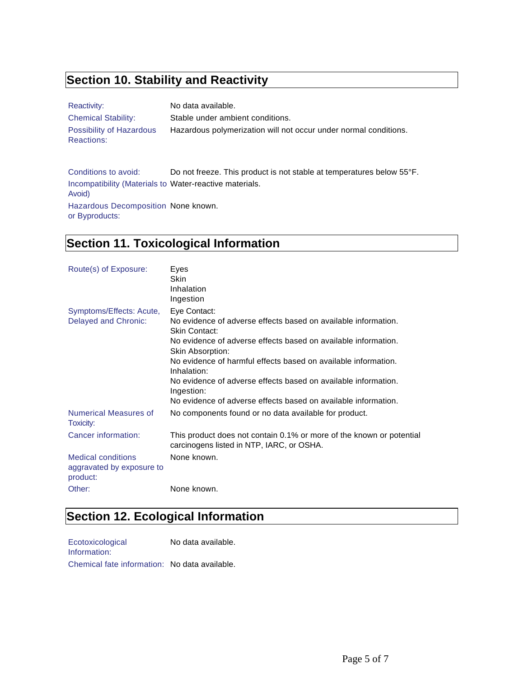## **Section 10. Stability and Reactivity**

| Reactivity:                            | No data available.                                               |
|----------------------------------------|------------------------------------------------------------------|
| <b>Chemical Stability:</b>             | Stable under ambient conditions.                                 |
| Possibility of Hazardous<br>Reactions: | Hazardous polymerization will not occur under normal conditions. |

Conditions to avoid: Do not freeze. This product is not stable at temperatures below 55°F. Incompatibility (Materials to Water-reactive materials. Avoid) Hazardous Decomposition None known. or Byproducts:

## **Section 11. Toxicological Information**

| Route(s) of Exposure:                                              | Eyes<br>Skin                                                                                                      |
|--------------------------------------------------------------------|-------------------------------------------------------------------------------------------------------------------|
|                                                                    | Inhalation                                                                                                        |
|                                                                    | Ingestion                                                                                                         |
| Symptoms/Effects: Acute,                                           | Eye Contact:                                                                                                      |
| <b>Delayed and Chronic:</b>                                        | No evidence of adverse effects based on available information.<br>Skin Contact:                                   |
|                                                                    | No evidence of adverse effects based on available information.<br>Skin Absorption:                                |
|                                                                    | No evidence of harmful effects based on available information.<br>Inhalation:                                     |
|                                                                    | No evidence of adverse effects based on available information.<br>Ingestion:                                      |
|                                                                    | No evidence of adverse effects based on available information.                                                    |
| <b>Numerical Measures of</b><br>Toxicity:                          | No components found or no data available for product.                                                             |
| Cancer information:                                                | This product does not contain 0.1% or more of the known or potential<br>carcinogens listed in NTP, IARC, or OSHA. |
| <b>Medical conditions</b><br>aggravated by exposure to<br>product: | None known.                                                                                                       |
| Other:                                                             | None known.                                                                                                       |

## **Section 12. Ecological Information**

| Ecotoxicological                              | No data available. |
|-----------------------------------------------|--------------------|
| Information:                                  |                    |
| Chemical fate information: No data available. |                    |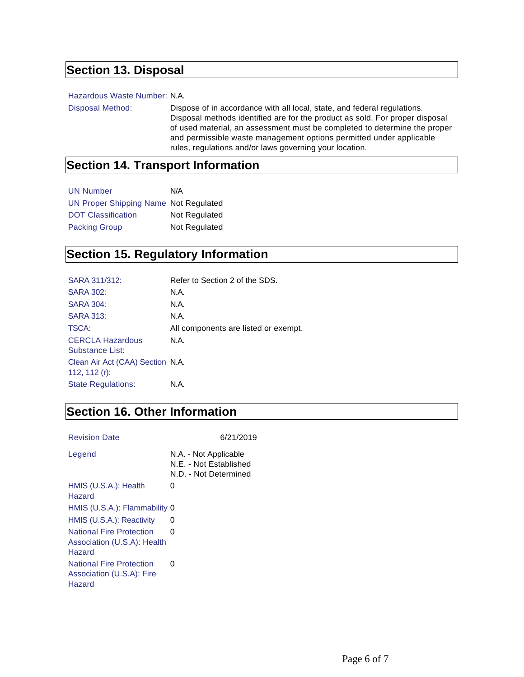## **Section 13. Disposal**

#### Hazardous Waste Number: N.A.

Disposal Method: Dispose of in accordance with all local, state, and federal regulations. Disposal methods identified are for the product as sold. For proper disposal of used material, an assessment must be completed to determine the proper and permissible waste management options permitted under applicable rules, regulations and/or laws governing your location.

#### **Section 14. Transport Information**

| <b>UN Number</b>                      | N/A           |
|---------------------------------------|---------------|
| UN Proper Shipping Name Not Regulated |               |
| <b>DOT Classification</b>             | Not Regulated |
| <b>Packing Group</b>                  | Not Regulated |

#### **Section 15. Regulatory Information**

| SARA 311/312:                                        | Refer to Section 2 of the SDS.       |
|------------------------------------------------------|--------------------------------------|
| <b>SARA 302:</b>                                     | N.A.                                 |
| <b>SARA 304:</b>                                     | N.A.                                 |
| <b>SARA 313:</b>                                     | N.A.                                 |
| TSCA:                                                | All components are listed or exempt. |
| <b>CERCLA Hazardous</b><br>Substance List:           | N.A.                                 |
| Clean Air Act (CAA) Section N.A.<br>112, 112 $(r)$ : |                                      |
| <b>State Regulations:</b>                            | N.A.                                 |
|                                                      |                                      |

#### **Section 16. Other Information**

Revision Date 6/21/2019

| Legend                                                                   | N.A. - Not Applicable<br>N.E. - Not Established<br>N.D. - Not Determined |
|--------------------------------------------------------------------------|--------------------------------------------------------------------------|
| HMIS (U.S.A.): Health<br>Hazard                                          | 0                                                                        |
| HMIS (U.S.A.): Flammability 0                                            |                                                                          |
| HMIS (U.S.A.): Reactivity                                                | O                                                                        |
| <b>National Fire Protection</b><br>Association (U.S.A): Health<br>Hazard | O                                                                        |
| <b>National Fire Protection</b><br>Association (U.S.A): Fire<br>Hazard   | 0                                                                        |